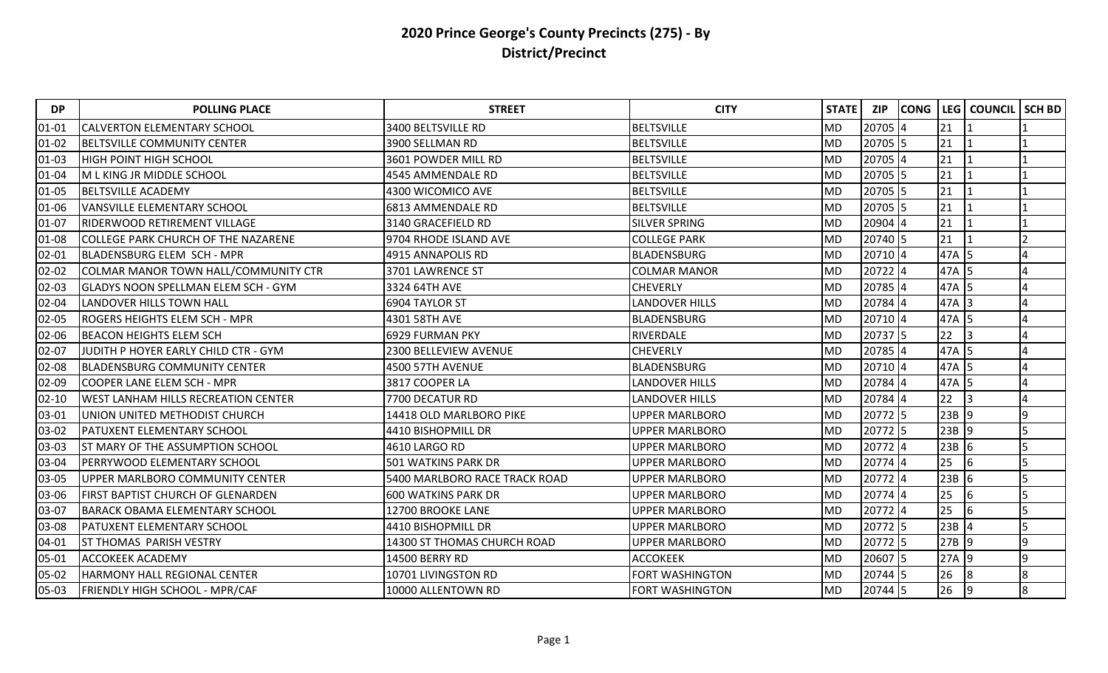| <b>DP</b> | <b>POLLING PLACE</b>                       | <b>STREET</b>                 | <b>CITY</b>            | <b>STATE</b> | <b>ZIP</b> | <b>CONG</b> | LEG     | <b>COUNCIL</b> | <b>SCH BD</b> |
|-----------|--------------------------------------------|-------------------------------|------------------------|--------------|------------|-------------|---------|----------------|---------------|
| $01 - 01$ | <b>CALVERTON ELEMENTARY SCHOOL</b>         | 3400 BELTSVILLE RD            | BELTSVILLE             | <b>MD</b>    | 20705 4    |             | 21      |                |               |
| $01 - 02$ | <b>BELTSVILLE COMMUNITY CENTER</b>         | 3900 SELLMAN RD               | <b>BELTSVILLE</b>      | <b>MD</b>    | 20705 5    |             | 21      |                |               |
| $01 - 03$ | <b>HIGH POINT HIGH SCHOOL</b>              | 3601 POWDER MILL RD           | <b>BELTSVILLE</b>      | <b>MD</b>    | 20705 4    |             | 21      |                |               |
| 01-04     | M L KING JR MIDDLE SCHOOL                  | 4545 AMMENDALE RD             | <b>BELTSVILLE</b>      | <b>MD</b>    | 20705 5    |             | 21      |                |               |
| 01-05     | <b>BELTSVILLE ACADEMY</b>                  | 4300 WICOMICO AVE             | <b>BELTSVILLE</b>      | <b>MD</b>    | 20705 5    |             | 21      |                |               |
| 01-06     | <b>VANSVILLE ELEMENTARY SCHOOL</b>         | 6813 AMMENDALE RD             | <b>BELTSVILLE</b>      | <b>MD</b>    | 20705 5    |             | 21      |                |               |
| 01-07     | RIDERWOOD RETIREMENT VILLAGE               | 3140 GRACEFIELD RD            | <b>SILVER SPRING</b>   | <b>MD</b>    | 20904 4    |             | 21      |                |               |
| 01-08     | <b>COLLEGE PARK CHURCH OF THE NAZARENE</b> | 9704 RHODE ISLAND AVE         | <b>COLLEGE PARK</b>    | <b>MD</b>    | 20740 5    |             | 21      |                |               |
| $02 - 01$ | <b>BLADENSBURG ELEM SCH - MPR</b>          | 4915 ANNAPOLIS RD             | BLADENSBURG            | <b>MD</b>    | 20710 4    |             | 47A 5   |                |               |
| $02 - 02$ | COLMAR MANOR TOWN HALL/COMMUNITY CTR       | 3701 LAWRENCE ST              | <b>COLMAR MANOR</b>    | <b>MD</b>    | 20722 4    |             | 47A 5   |                |               |
| $02 - 03$ | <b>GLADYS NOON SPELLMAN ELEM SCH - GYM</b> | 3324 64TH AVE                 | <b>CHEVERLY</b>        | <b>MD</b>    | 20785 4    |             | 47A 5   |                |               |
| 02-04     | <b>LANDOVER HILLS TOWN HALL</b>            | 6904 TAYLOR ST                | <b>LANDOVER HILLS</b>  | <b>MD</b>    | 20784 4    |             | 47A 3   |                |               |
| $02 - 05$ | <b>ROGERS HEIGHTS ELEM SCH - MPR</b>       | 4301 58TH AVE                 | <b>BLADENSBURG</b>     | <b>MD</b>    | 20710 4    |             | 47A 5   |                |               |
| 02-06     | <b>BEACON HEIGHTS ELEM SCH</b>             | 6929 FURMAN PKY               | RIVERDALE              | <b>MD</b>    | 20737 5    |             | 22      | 3              |               |
| $02 - 07$ | JUDITH P HOYER EARLY CHILD CTR - GYM       | 2300 BELLEVIEW AVENUE         | <b>CHEVERLY</b>        | <b>MD</b>    | 20785 4    |             | 47A 5   |                |               |
| 02-08     | <b>BLADENSBURG COMMUNITY CENTER</b>        | 4500 57TH AVENUE              | <b>BLADENSBURG</b>     | <b>MD</b>    | 20710 4    |             | 47A 5   |                |               |
| 02-09     | COOPER LANE ELEM SCH - MPR                 | 3817 COOPER LA                | <b>LANDOVER HILLS</b>  | <b>MD</b>    | 20784 4    |             | 47A     | 15             |               |
| $02 - 10$ | <b>WEST LANHAM HILLS RECREATION CENTER</b> | 7700 DECATUR RD               | <b>LANDOVER HILLS</b>  | MD           | 20784 4    |             | 22      | 3              |               |
| 03-01     | <b>JUNION UNITED METHODIST CHURCH</b>      | 14418 OLD MARLBORO PIKE       | <b>UPPER MARLBORO</b>  | <b>MD</b>    | 20772 5    |             | $23B$ 9 |                | q             |
| 03-02     | <b>PATUXENT ELEMENTARY SCHOOL</b>          | 4410 BISHOPMILL DR            | <b>UPPER MARLBORO</b>  | <b>MD</b>    | 20772 5    |             | $23B$ 9 |                |               |
| 03-03     | <b>ST MARY OF THE ASSUMPTION SCHOOL</b>    | 4610 LARGO RD                 | <b>UPPER MARLBORO</b>  | <b>MD</b>    | 20772 4    |             | $23B$ 6 |                |               |
| 03-04     | <b>PERRYWOOD ELEMENTARY SCHOOL</b>         | 501 WATKINS PARK DR           | UPPER MARLBORO         | <b>MD</b>    | 20774 4    |             | 25      | 16             |               |
| 03-05     | UPPER MARLBORO COMMUNITY CENTER            | 5400 MARLBORO RACE TRACK ROAD | UPPER MARLBORO         | <b>MD</b>    | 20772 4    |             | $23B$ 6 |                |               |
| 03-06     | <b>FIRST BAPTIST CHURCH OF GLENARDEN</b>   | <b>600 WATKINS PARK DR</b>    | <b>UPPER MARLBORO</b>  | <b>MD</b>    | 20774 4    |             | 25      | 6              |               |
| 03-07     | <b>BARACK OBAMA ELEMENTARY SCHOOL</b>      | 12700 BROOKE LANE             | <b>UPPER MARLBORO</b>  | <b>MD</b>    | 20772 4    |             | 25      | 16             |               |
| 03-08     | <b>PATUXENT ELEMENTARY SCHOOL</b>          | 4410 BISHOPMILL DR            | <b>UPPER MARLBORO</b>  | <b>MD</b>    | 20772 5    |             | $23B$ 4 |                | 5             |
| 04-01     | <b>ST THOMAS PARISH VESTRY</b>             | 14300 ST THOMAS CHURCH ROAD   | <b>UPPER MARLBORO</b>  | <b>MD</b>    | 20772 5    |             | 27B 9   |                | q             |
| 05-01     | <b>ACCOKEEK ACADEMY</b>                    | 14500 BERRY RD                | <b>ACCOKEEK</b>        | <b>MD</b>    | $20607$ 5  |             | 27A 9   |                | 9             |
| 05-02     | HARMONY HALL REGIONAL CENTER               | 10701 LIVINGSTON RD           | FORT WASHINGTON        | <b>MD</b>    | 20744 5    |             | 26      | 8              | 8             |
| 05-03     | <b>FRIENDLY HIGH SCHOOL - MPR/CAF</b>      | 10000 ALLENTOWN RD            | <b>FORT WASHINGTON</b> | <b>MD</b>    | 20744 5    |             | 26      | 9              | 8             |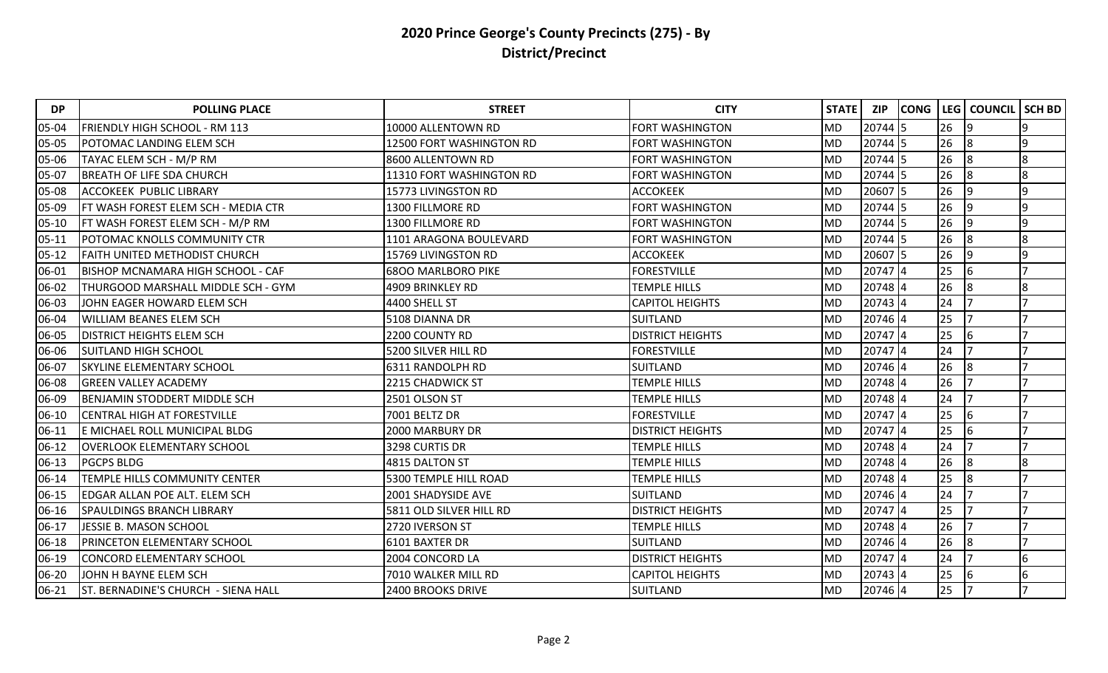| <b>DP</b> | <b>POLLING PLACE</b>                     | <b>STREET</b>             | <b>CITY</b>             | <b>STATE</b> | <b>ZIP</b> | <b>CONG</b> | LEG | <b>COUNCIL</b> | <b>SCH BD</b> |
|-----------|------------------------------------------|---------------------------|-------------------------|--------------|------------|-------------|-----|----------------|---------------|
| 05-04     | <b>FRIENDLY HIGH SCHOOL - RM 113</b>     | 10000 ALLENTOWN RD        | <b>FORT WASHINGTON</b>  | <b>MD</b>    | 20744 5    |             | 26  | 19             | I۹            |
| 05-05     | <b>POTOMAC LANDING ELEM SCH</b>          | 12500 FORT WASHINGTON RD  | FORT WASHINGTON         | <b>MD</b>    | 20744 5    |             | 26  | 8              | q             |
| 05-06     | TAYAC ELEM SCH - M/P RM                  | 8600 ALLENTOWN RD         | FORT WASHINGTON         | <b>MD</b>    | 20744 5    |             | 26  | 8              | 8             |
| 05-07     | <b>BREATH OF LIFE SDA CHURCH</b>         | 11310 FORT WASHINGTON RD  | <b>FORT WASHINGTON</b>  | <b>MD</b>    | 20744 5    |             | 26  | 8              | 8             |
| 05-08     | <b>ACCOKEEK PUBLIC LIBRARY</b>           | 15773 LIVINGSTON RD       | <b>ACCOKEEK</b>         | <b>MD</b>    | 20607 5    |             | 26  | 9              | 9             |
| 05-09     | FT WASH FOREST ELEM SCH - MEDIA CTR      | <b>1300 FILLMORE RD</b>   | <b>FORT WASHINGTON</b>  | <b>MD</b>    | 20744 5    |             | 26  | 19             | q             |
| $05 - 10$ | FT WASH FOREST ELEM SCH - M/P RM         | 1300 FILLMORE RD          | <b>FORT WASHINGTON</b>  | <b>MD</b>    | 20744 5    |             | 26  | 19             | 9             |
| $05 - 11$ | POTOMAC KNOLLS COMMUNITY CTR             | 1101 ARAGONA BOULEVARD    | FORT WASHINGTON         | <b>MD</b>    | 20744 5    |             | 26  | 8              | 8             |
| $05 - 12$ | <b>FAITH UNITED METHODIST CHURCH</b>     | 15769 LIVINGSTON RD       | <b>ACCOKEEK</b>         | <b>MD</b>    | 20607 5    |             | 26  | 19             | ١q            |
| 06-01     | <b>BISHOP MCNAMARA HIGH SCHOOL - CAF</b> | <b>6800 MARLBORO PIKE</b> | <b>FORESTVILLE</b>      | <b>MD</b>    | $20747$ 4  |             | 25  | 16             |               |
| 06-02     | THURGOOD MARSHALL MIDDLE SCH - GYM       | 4909 BRINKLEY RD          | <b>TEMPLE HILLS</b>     | <b>MD</b>    | 20748 4    |             | 26  | 8              | 8             |
| 06-03     | JOHN EAGER HOWARD ELEM SCH               | 4400 SHELL ST             | <b>CAPITOL HEIGHTS</b>  | <b>MD</b>    | 20743 4    |             | 24  |                |               |
| 06-04     | <b>WILLIAM BEANES ELEM SCH</b>           | 5108 DIANNA DR            | SUITLAND                | <b>MD</b>    | 20746 4    |             | 25  |                |               |
| 06-05     | <b>DISTRICT HEIGHTS ELEM SCH</b>         | 2200 COUNTY RD            | <b>DISTRICT HEIGHTS</b> | <b>MD</b>    | $20747$ 4  |             | 25  | 6              |               |
| 06-06     | <b>SUITLAND HIGH SCHOOL</b>              | 5200 SILVER HILL RD       | <b>FORESTVILLE</b>      | <b>MD</b>    | $20747$ 4  |             | 24  |                |               |
| 06-07     | <b>SKYLINE ELEMENTARY SCHOOL</b>         | 6311 RANDOLPH RD          | <b>SUITLAND</b>         | <b>MD</b>    | 20746 4    |             | 26  | 8              |               |
| 06-08     | <b>GREEN VALLEY ACADEMY</b>              | 2215 CHADWICK ST          | <b>TEMPLE HILLS</b>     | <b>MD</b>    | 20748 4    |             | 26  |                |               |
| 06-09     | BENJAMIN STODDERT MIDDLE SCH             | 2501 OLSON ST             | <b>TEMPLE HILLS</b>     | MD           | 20748 4    |             | 24  |                |               |
| 06-10     | <b>CENTRAL HIGH AT FORESTVILLE</b>       | 7001 BELTZ DR             | <b>FORESTVILLE</b>      | <b>MD</b>    | 20747 4    |             | 25  | 6              |               |
| 06-11     | E MICHAEL ROLL MUNICIPAL BLDG            | 2000 MARBURY DR           | <b>DISTRICT HEIGHTS</b> | <b>MD</b>    | 20747 4    |             | 25  | 6              |               |
| $06 - 12$ | <b>OVERLOOK ELEMENTARY SCHOOL</b>        | 3298 CURTIS DR            | <b>TEMPLE HILLS</b>     | <b>MD</b>    | 20748 4    |             | 24  |                |               |
| $06 - 13$ | <b>PGCPS BLDG</b>                        | 4815 DALTON ST            | TEMPLE HILLS            | <b>MD</b>    | 20748 4    |             | 26  | 8              |               |
| 06-14     | <b>TEMPLE HILLS COMMUNITY CENTER</b>     | 5300 TEMPLE HILL ROAD     | <b>TEMPLE HILLS</b>     | <b>MD</b>    | 20748 4    |             | 25  | 8              |               |
| $06 - 15$ | <b>EDGAR ALLAN POE ALT. ELEM SCH</b>     | 2001 SHADYSIDE AVE        | <b>SUITLAND</b>         | <b>MD</b>    | 20746 4    |             | 24  |                |               |
| 06-16     | <b>SPAULDINGS BRANCH LIBRARY</b>         | 5811 OLD SILVER HILL RD   | <b>DISTRICT HEIGHTS</b> | <b>MD</b>    | 20747 4    |             | 25  |                |               |
| 06-17     | JESSIE B. MASON SCHOOL                   | 2720 IVERSON ST           | <b>TEMPLE HILLS</b>     | <b>MD</b>    | 20748 4    |             | 26  |                |               |
| 06-18     | <b>PRINCETON ELEMENTARY SCHOOL</b>       | 6101 BAXTER DR            | <b>SUITLAND</b>         | <b>MD</b>    | 20746 4    |             | 26  | 8              |               |
| 06-19     | <b>CONCORD ELEMENTARY SCHOOL</b>         | 2004 CONCORD LA           | <b>DISTRICT HEIGHTS</b> | <b>MD</b>    | 20747 4    |             | 24  |                | 6             |
| 06-20     | JOHN H BAYNE ELEM SCH                    | 7010 WALKER MILL RD       | <b>CAPITOL HEIGHTS</b>  | <b>MD</b>    | 20743 4    |             | 25  | 6              | 6             |
| 06-21     | ST. BERNADINE'S CHURCH - SIENA HALL      | 2400 BROOKS DRIVE         | SUITLAND                | <b>MD</b>    | 20746 4    |             | 25  |                |               |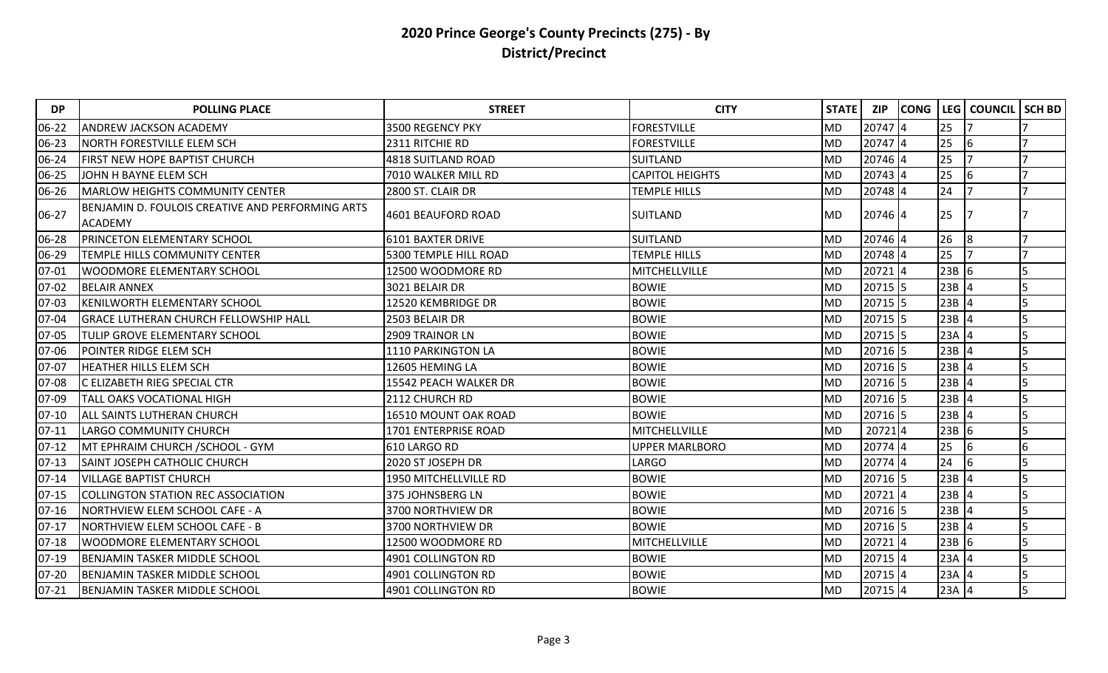| <b>DP</b> | <b>POLLING PLACE</b>                                               | <b>STREET</b>                | <b>CITY</b>            | <b>STATE</b> | <b>ZIP</b> | <b>CONG</b> |         | LEG   COUNCIL | <b>SCH BD</b> |
|-----------|--------------------------------------------------------------------|------------------------------|------------------------|--------------|------------|-------------|---------|---------------|---------------|
| 06-22     | <b>ANDREW JACKSON ACADEMY</b>                                      | 3500 REGENCY PKY             | <b>FORESTVILLE</b>     | <b>MD</b>    | 20747 4    |             | 25      |               |               |
| 06-23     | <b>NORTH FORESTVILLE ELEM SCH</b>                                  | 2311 RITCHIE RD              | <b>FORESTVILLE</b>     | <b>MD</b>    | 20747 4    |             | 25      | 6             |               |
| 06-24     | FIRST NEW HOPE BAPTIST CHURCH                                      | 4818 SUITLAND ROAD           | <b>SUITLAND</b>        | <b>MD</b>    | 20746 4    |             | 25      |               |               |
| 06-25     | JOHN H BAYNE ELEM SCH                                              | 7010 WALKER MILL RD          | <b>CAPITOL HEIGHTS</b> | <b>MD</b>    | 20743 4    |             | 25      | 6             |               |
| 06-26     | <b>MARLOW HEIGHTS COMMUNITY CENTER</b>                             | 2800 ST. CLAIR DR            | <b>TEMPLE HILLS</b>    | <b>MD</b>    | 20748 4    |             | 24      |               |               |
| 06-27     | BENJAMIN D. FOULOIS CREATIVE AND PERFORMING ARTS<br><b>ACADEMY</b> | 4601 BEAUFORD ROAD           | <b>SUITLAND</b>        | <b>MD</b>    | 20746 4    |             | 25      |               |               |
| 06-28     | PRINCETON ELEMENTARY SCHOOL                                        | <b>6101 BAXTER DRIVE</b>     | <b>SUITLAND</b>        | <b>MD</b>    | 20746 4    |             | 26      | 8             |               |
| 06-29     | TEMPLE HILLS COMMUNITY CENTER                                      | 5300 TEMPLE HILL ROAD        | <b>TEMPLE HILLS</b>    | <b>MD</b>    | 20748 4    |             | 25      |               |               |
| $07 - 01$ | WOODMORE ELEMENTARY SCHOOL                                         | 12500 WOODMORE RD            | MITCHELLVILLE          | MD           | 20721 4    |             | $23B$ 6 |               | 5             |
| $07 - 02$ | <b>BELAIR ANNEX</b>                                                | 3021 BELAIR DR               | <b>BOWIE</b>           | <b>MD</b>    | 20715 5    |             | $23B$ 4 |               |               |
| 07-03     | <b>KENILWORTH ELEMENTARY SCHOOL</b>                                | 12520 KEMBRIDGE DR           | <b>BOWIE</b>           | <b>MD</b>    | 20715 5    |             | 23B     |               |               |
| 07-04     | <b>GRACE LUTHERAN CHURCH FELLOWSHIP HALL</b>                       | 2503 BELAIR DR               | <b>BOWIE</b>           | <b>MD</b>    | 20715 5    |             | $23B$ 4 |               |               |
| 07-05     | TULIP GROVE ELEMENTARY SCHOOL                                      | <b>2909 TRAINOR LN</b>       | <b>BOWIE</b>           | <b>MD</b>    | 20715 5    |             | $23A$ 4 |               |               |
| 07-06     | POINTER RIDGE ELEM SCH                                             | 1110 PARKINGTON LA           | <b>BOWIE</b>           | <b>MD</b>    | 20716 5    |             | $23B$ 4 |               |               |
| 07-07     | HEATHER HILLS ELEM SCH                                             | 12605 HEMING LA              | <b>BOWIE</b>           | <b>MD</b>    | 20716 5    |             | 23B     |               |               |
| 07-08     | C ELIZABETH RIEG SPECIAL CTR                                       | 15542 PEACH WALKER DR        | <b>BOWIE</b>           | <b>MD</b>    | 20716 5    |             | 23B     |               |               |
| 07-09     | <b>TALL OAKS VOCATIONAL HIGH</b>                                   | 2112 CHURCH RD               | <b>BOWIE</b>           | MD           | 20716 5    |             | $23B$ 4 |               |               |
| $07-10$   | <b>ALL SAINTS LUTHERAN CHURCH</b>                                  | 16510 MOUNT OAK ROAD         | <b>BOWIE</b>           | <b>MD</b>    | 20716 5    |             | $23B$ 4 |               |               |
| $07 - 11$ | LARGO COMMUNITY CHURCH                                             | 1701 ENTERPRISE ROAD         | MITCHELLVILLE          | <b>MD</b>    | 207214     |             | $23B$ 6 |               |               |
| $07 - 12$ | MT EPHRAIM CHURCH / SCHOOL - GYM                                   | 610 LARGO RD                 | UPPER MARLBORO         | <b>MD</b>    | 20774 4    |             | 25      | 6             | 6             |
| $07-13$   | <b>SAINT JOSEPH CATHOLIC CHURCH</b>                                | 2020 ST JOSEPH DR            | LARGO                  | <b>MD</b>    | 20774 4    |             | 24      | 6             |               |
| $07 - 14$ | VILLAGE BAPTIST CHURCH                                             | <b>1950 MITCHELLVILLE RD</b> | <b>BOWIE</b>           | <b>MD</b>    | 20716 5    |             | $23B$ 4 |               |               |
| $07 - 15$ | <b>COLLINGTON STATION REC ASSOCIATION</b>                          | 375 JOHNSBERG LN             | <b>BOWIE</b>           | <b>MD</b>    | 20721 4    |             | $23B$ 4 |               |               |
| $07 - 16$ | NORTHVIEW ELEM SCHOOL CAFE - A                                     | 3700 NORTHVIEW DR            | <b>BOWIE</b>           | <b>MD</b>    | 20716 5    |             | 23B     |               |               |
| $07 - 17$ | <b>NORTHVIEW ELEM SCHOOL CAFE - B</b>                              | 3700 NORTHVIEW DR            | <b>BOWIE</b>           | <b>MD</b>    | 20716 5    |             | $23B$ 4 |               |               |
| $07 - 18$ | <b>WOODMORE ELEMENTARY SCHOOL</b>                                  | 12500 WOODMORE RD            | <b>MITCHELLVILLE</b>   | <b>MD</b>    | 20721 4    |             | $23B$ 6 |               |               |
| $07-19$   | <b>BENJAMIN TASKER MIDDLE SCHOOL</b>                               | 4901 COLLINGTON RD           | <b>BOWIE</b>           | <b>MD</b>    | 20715 4    |             | $23A$ 4 |               | 5             |
| $07 - 20$ | <b>BENJAMIN TASKER MIDDLE SCHOOL</b>                               | 4901 COLLINGTON RD           | <b>BOWIE</b>           | <b>MD</b>    | 20715 4    |             | $23A$ 4 |               |               |
| $07 - 21$ | <b>BENJAMIN TASKER MIDDLE SCHOOL</b>                               | 4901 COLLINGTON RD           | <b>BOWIE</b>           | <b>MD</b>    | 20715 4    |             | $23A$ 4 |               | 5             |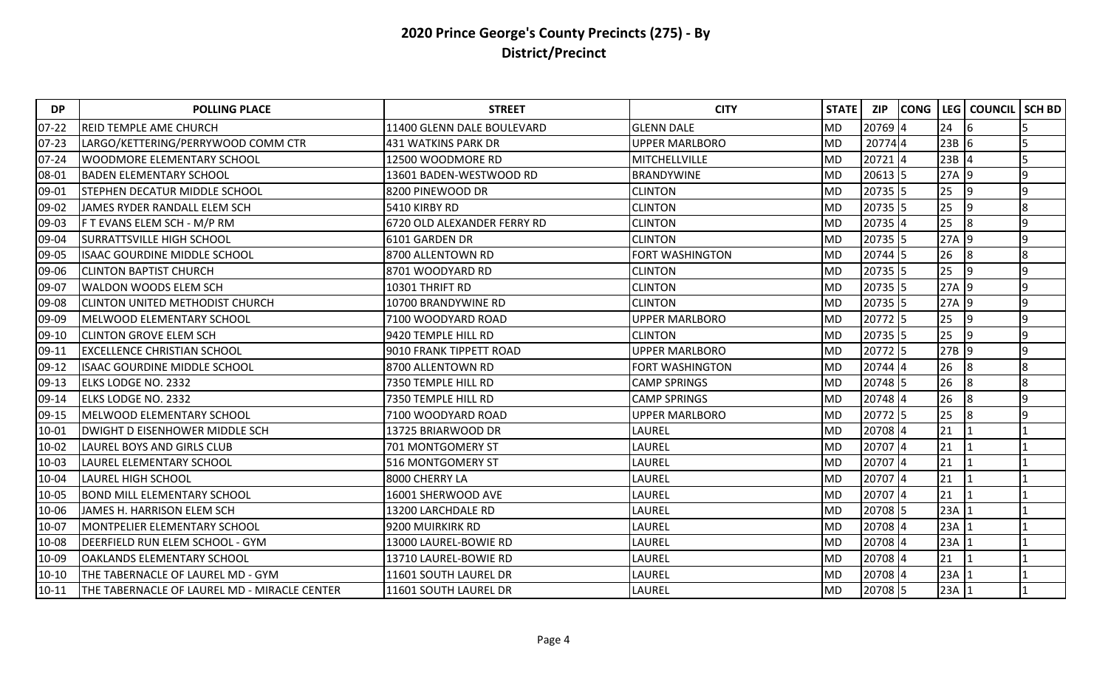| <b>DP</b> | <b>POLLING PLACE</b>                         | <b>STREET</b>               | <b>CITY</b>            | STATE     | <b>ZIP</b> | <b>CONG</b> | LEG     | <b>COUNCIL</b> | <b>SCH BD</b> |
|-----------|----------------------------------------------|-----------------------------|------------------------|-----------|------------|-------------|---------|----------------|---------------|
| $07 - 22$ | <b>REID TEMPLE AME CHURCH</b>                | 11400 GLENN DALE BOULEVARD  | <b>GLENN DALE</b>      | <b>MD</b> | 20769 4    |             | 24      | 16             |               |
| $07 - 23$ | LARGO/KETTERING/PERRYWOOD COMM CTR           | <b>431 WATKINS PARK DR</b>  | <b>UPPER MARLBORO</b>  | <b>MD</b> | 207744     |             | $23B$ 6 |                |               |
| $07 - 24$ | <b>WOODMORE ELEMENTARY SCHOOL</b>            | 12500 WOODMORE RD           | MITCHELLVILLE          | <b>MD</b> | 20721 4    |             | $23B$ 4 |                |               |
| 08-01     | <b>BADEN ELEMENTARY SCHOOL</b>               | 13601 BADEN-WESTWOOD RD     | <b>BRANDYWINE</b>      | <b>MD</b> | 20613 5    |             | $27A$ 9 |                | q             |
| 09-01     | <b>STEPHEN DECATUR MIDDLE SCHOOL</b>         | 8200 PINEWOOD DR            | <b>CLINTON</b>         | <b>MD</b> | 20735 5    |             | 25      | 19             | Ι9            |
| 09-02     | JAMES RYDER RANDALL ELEM SCH                 | 5410 KIRBY RD               | <b>CLINTON</b>         | <b>MD</b> | 20735 5    |             | 25      | 9              | 8             |
| 09-03     | F T EVANS ELEM SCH - M/P RM                  | 6720 OLD ALEXANDER FERRY RD | <b>CLINTON</b>         | <b>MD</b> | 20735 4    |             | 25      | 8              | 9             |
| 09-04     | <b>SURRATTSVILLE HIGH SCHOOL</b>             | 6101 GARDEN DR              | <b>CLINTON</b>         | <b>MD</b> | 20735 5    |             | $27A$ 9 |                | 9             |
| 09-05     | <b>ISAAC GOURDINE MIDDLE SCHOOL</b>          | 8700 ALLENTOWN RD           | <b>FORT WASHINGTON</b> | <b>MD</b> | 20744 5    |             | 26      | 8              | 8             |
| 09-06     | <b>CLINTON BAPTIST CHURCH</b>                | 8701 WOODYARD RD            | <b>CLINTON</b>         | <b>MD</b> | 20735 5    |             | 25      | 19             | I۹            |
| 09-07     | <b>WALDON WOODS ELEM SCH</b>                 | 10301 THRIFT RD             | <b>CLINTON</b>         | <b>MD</b> | 20735 5    |             | 27A 9   |                | 9             |
| 09-08     | <b>CLINTON UNITED METHODIST CHURCH</b>       | 10700 BRANDYWINE RD         | <b>CLINTON</b>         | <b>MD</b> | $20735$ 5  |             | $27A$ 9 |                | 9             |
| 09-09     | MELWOOD ELEMENTARY SCHOOL                    | 7100 WOODYARD ROAD          | <b>UPPER MARLBORO</b>  | <b>MD</b> | 20772 5    |             | 25      | 9              | 9             |
| 09-10     | <b>CLINTON GROVE ELEM SCH</b>                | 9420 TEMPLE HILL RD         | <b>CLINTON</b>         | <b>MD</b> | 20735 5    |             | 25      | 19             | I۹            |
| 09-11     | <b>EXCELLENCE CHRISTIAN SCHOOL</b>           | 9010 FRANK TIPPETT ROAD     | <b>UPPER MARLBORO</b>  | <b>MD</b> | 20772 5    |             | $27B$ 9 |                | 9             |
| 09-12     | ISAAC GOURDINE MIDDLE SCHOOL                 | 8700 ALLENTOWN RD           | FORT WASHINGTON        | <b>MD</b> | $20744$ 4  |             | 26      | 8              | 8             |
| $09 - 13$ | <b>ELKS LODGE NO. 2332</b>                   | 7350 TEMPLE HILL RD         | <b>CAMP SPRINGS</b>    | MD        | 20748 5    |             | 26      | 8              | 8             |
| 09-14     | <b>ELKS LODGE NO. 2332</b>                   | 7350 TEMPLE HILL RD         | <b>CAMP SPRINGS</b>    | <b>MD</b> | 20748 4    |             | 26      | 8              | ١q            |
| 09-15     | MELWOOD ELEMENTARY SCHOOL                    | 7100 WOODYARD ROAD          | <b>UPPER MARLBORO</b>  | <b>MD</b> | 20772 5    |             | 25      | 8              | q             |
| 10-01     | <b>DWIGHT D EISENHOWER MIDDLE SCH</b>        | 13725 BRIARWOOD DR          | LAUREL                 | <b>MD</b> | 20708 4    |             | 21      |                |               |
| 10-02     | <b>LAUREL BOYS AND GIRLS CLUB</b>            | 701 MONTGOMERY ST           | LAUREL                 | <b>MD</b> | 20707 4    |             | 21      |                |               |
| 10-03     | LAUREL ELEMENTARY SCHOOL                     | 516 MONTGOMERY ST           | LAUREL                 | <b>MD</b> | 20707 4    |             | 21      |                |               |
| 10-04     | <b>LAUREL HIGH SCHOOL</b>                    | 8000 CHERRY LA              | LAUREL                 | <b>MD</b> | 20707 4    |             | 21      |                |               |
| 10-05     | <b>BOND MILL ELEMENTARY SCHOOL</b>           | 16001 SHERWOOD AVE          | LAUREL                 | <b>MD</b> | 20707 4    |             | 21      |                |               |
| 10-06     | JAMES H. HARRISON ELEM SCH                   | 13200 LARCHDALE RD          | LAUREL                 | <b>MD</b> | 20708 5    |             | 23A     |                |               |
| 10-07     | <b>MONTPELIER ELEMENTARY SCHOOL</b>          | 9200 MUIRKIRK RD            | LAUREL                 | <b>MD</b> | 20708 4    |             | 23A     |                |               |
| 10-08     | DEERFIELD RUN ELEM SCHOOL - GYM              | 13000 LAUREL-BOWIE RD       | LAUREL                 | <b>MD</b> | 20708 4    |             | 23A     |                |               |
| 10-09     | <b>OAKLANDS ELEMENTARY SCHOOL</b>            | 13710 LAUREL-BOWIE RD       | LAUREL                 | <b>MD</b> | 20708 4    |             | 21      |                |               |
| $10 - 10$ | THE TABERNACLE OF LAUREL MD - GYM            | 11601 SOUTH LAUREL DR       | LAUREL                 | <b>MD</b> | 20708 4    |             | 23A     |                |               |
| $10 - 11$ | THE TABERNACLE OF LAUREL MD - MIRACLE CENTER | 11601 SOUTH LAUREL DR       | LAUREL                 | <b>MD</b> | 20708 5    |             | 23A     |                |               |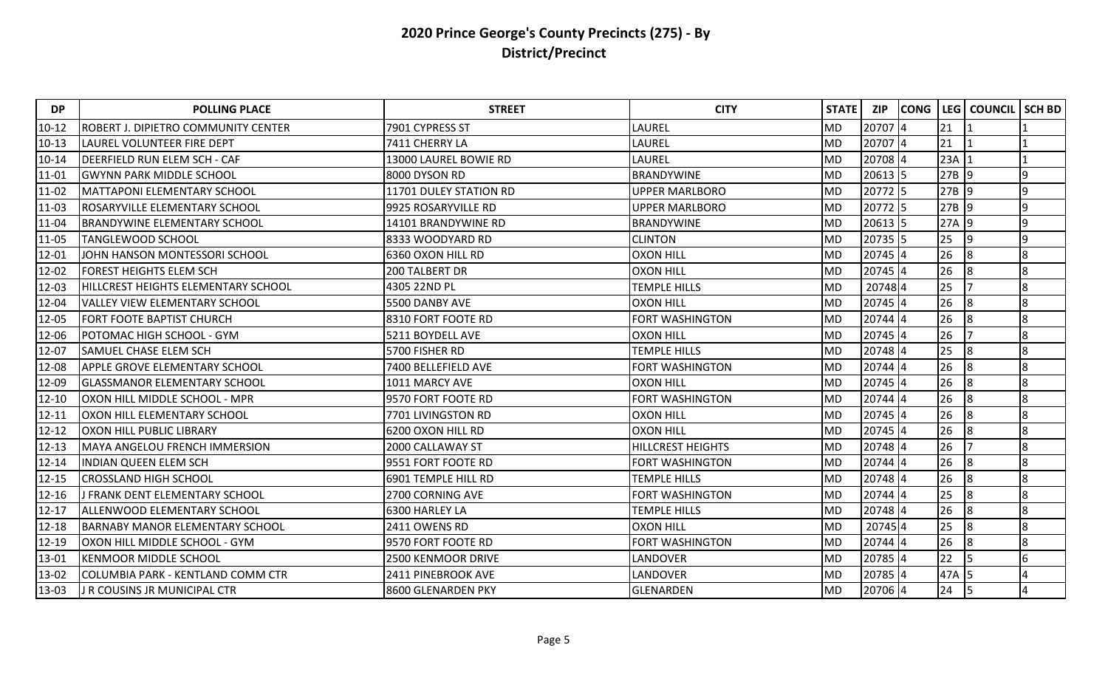| <b>DP</b>  | <b>POLLING PLACE</b>                   | <b>STREET</b>          | <b>CITY</b>              | STATE     | <b>ZIP</b> | <b>CONG</b> | LEG     | <b>COUNCIL</b> | <b>SCH BD</b> |
|------------|----------------------------------------|------------------------|--------------------------|-----------|------------|-------------|---------|----------------|---------------|
| $10 - 12$  | ROBERT J. DIPIETRO COMMUNITY CENTER    | 7901 CYPRESS ST        | LAUREL                   | <b>MD</b> | 20707 4    |             | 21      |                |               |
| $10 - 13$  | LAUREL VOLUNTEER FIRE DEPT             | 7411 CHERRY LA         | LAUREL                   | <b>MD</b> | 20707 4    |             | 21      |                |               |
| $10 - 14$  | DEERFIELD RUN ELEM SCH - CAF           | 13000 LAUREL BOWIE RD  | LAUREL                   | <b>MD</b> | 20708 4    |             | 23A     |                |               |
| $ 11 - 01$ | <b>GWYNN PARK MIDDLE SCHOOL</b>        | 8000 DYSON RD          | <b>BRANDYWINE</b>        | <b>MD</b> | $20613$ 5  |             | $27B$ 9 |                | q             |
| 11-02      | MATTAPONI ELEMENTARY SCHOOL            | 11701 DULEY STATION RD | <b>UPPER MARLBORO</b>    | <b>MD</b> | 20772 5    |             | $27B$ 9 |                | 9             |
| 11-03      | ROSARYVILLE ELEMENTARY SCHOOL          | 9925 ROSARYVILLE RD    | <b>UPPER MARLBORO</b>    | <b>MD</b> | 20772 5    |             | 27B 9   |                | q             |
| 11-04      | <b>BRANDYWINE ELEMENTARY SCHOOL</b>    | 14101 BRANDYWINE RD    | <b>BRANDYWINE</b>        | <b>MD</b> | $20613$ 5  |             | 27A 9   |                | q             |
| 11-05      | TANGLEWOOD SCHOOL                      | 8333 WOODYARD RD       | <b>CLINTON</b>           | <b>MD</b> | 20735 5    |             | 25      | 9              | 9             |
| 12-01      | JOHN HANSON MONTESSORI SCHOOL          | 6360 OXON HILL RD      | <b>OXON HILL</b>         | <b>MD</b> | 20745 4    |             | 26      | 8              | 8             |
| 12-02      | FOREST HEIGHTS ELEM SCH                | 200 TALBERT DR         | <b>OXON HILL</b>         | <b>MD</b> | 20745 4    |             | 26      | 8              | 8             |
| 12-03      | HILLCREST HEIGHTS ELEMENTARY SCHOOL    | 4305 22ND PL           | <b>TEMPLE HILLS</b>      | <b>MD</b> | 207484     |             | 25      |                | 8             |
| 12-04      | VALLEY VIEW ELEMENTARY SCHOOL          | 5500 DANBY AVE         | <b>OXON HILL</b>         | <b>MD</b> | 20745 4    |             | 26      | 8              | 8             |
| 12-05      | <b>FORT FOOTE BAPTIST CHURCH</b>       | 8310 FORT FOOTE RD     | <b>FORT WASHINGTON</b>   | <b>MD</b> | 20744 4    |             | 26      | 8              | 8             |
| 12-06      | POTOMAC HIGH SCHOOL - GYM              | 5211 BOYDELL AVE       | <b>OXON HILL</b>         | <b>MD</b> | 20745 4    |             | 26      |                | 8             |
| 12-07      | SAMUEL CHASE ELEM SCH                  | 5700 FISHER RD         | <b>TEMPLE HILLS</b>      | <b>MD</b> | 20748 4    |             | 25      | 8              | 8             |
| 12-08      | APPLE GROVE ELEMENTARY SCHOOL          | 7400 BELLEFIELD AVE    | FORT WASHINGTON          | <b>MD</b> | 20744 4    |             | 26      | 8              | 8             |
| 12-09      | <b>GLASSMANOR ELEMENTARY SCHOOL</b>    | 1011 MARCY AVE         | <b>OXON HILL</b>         | <b>MD</b> | 20745 4    |             | 26      | 8              | 8             |
| $12 - 10$  | OXON HILL MIDDLE SCHOOL - MPR          | 9570 FORT FOOTE RD     | <b>FORT WASHINGTON</b>   | <b>MD</b> | 20744 4    |             | 26      | 8              | 8             |
| $12 - 11$  | OXON HILL ELEMENTARY SCHOOL            | 7701 LIVINGSTON RD     | <b>OXON HILL</b>         | <b>MD</b> | 20745 4    |             | 26      | 8              | 8             |
| $12 - 12$  | OXON HILL PUBLIC LIBRARY               | 6200 OXON HILL RD      | <b>OXON HILL</b>         | <b>MD</b> | 20745 4    |             | 26      | 8              | 8             |
| $12 - 13$  | <b>MAYA ANGELOU FRENCH IMMERSION</b>   | 2000 CALLAWAY ST       | <b>HILLCREST HEIGHTS</b> | <b>MD</b> | 20748 4    |             | 26      |                | 8             |
| $12 - 14$  | <b>INDIAN QUEEN ELEM SCH</b>           | 9551 FORT FOOTE RD     | FORT WASHINGTON          | MD        | 20744 4    |             | 26      | 8              | 8             |
| $12 - 15$  | <b>CROSSLAND HIGH SCHOOL</b>           | 6901 TEMPLE HILL RD    | <b>TEMPLE HILLS</b>      | <b>MD</b> | 20748 4    |             | 26      | 8              | 8             |
| 12-16      | <b>I FRANK DENT ELEMENTARY SCHOOL</b>  | 2700 CORNING AVE       | FORT WASHINGTON          | <b>MD</b> | 20744 4    |             | 25      | 8              | 8             |
| $12 - 17$  | ALLENWOOD ELEMENTARY SCHOOL            | 6300 HARLEY LA         | <b>TEMPLE HILLS</b>      | <b>MD</b> | 20748 4    |             | 26      | 8              | 8             |
| $12 - 18$  | <b>BARNABY MANOR ELEMENTARY SCHOOL</b> | 2411 OWENS RD          | <b>OXON HILL</b>         | <b>MD</b> | 207454     |             | 25      | 8              | 8             |
| $12 - 19$  | OXON HILL MIDDLE SCHOOL - GYM          | 9570 FORT FOOTE RD     | FORT WASHINGTON          | <b>MD</b> | 20744 4    |             | 26      | 8              | 8             |
| 13-01      | <b>KENMOOR MIDDLE SCHOOL</b>           | 2500 KENMOOR DRIVE     | LANDOVER                 | <b>MD</b> | 20785 4    |             | 22      | 5              | 6             |
| 13-02      | COLUMBIA PARK - KENTLAND COMM CTR      | 2411 PINEBROOK AVE     | LANDOVER                 | <b>MD</b> | 20785 4    |             | 47A 5   |                |               |
| 13-03      | <b>J R COUSINS JR MUNICIPAL CTR</b>    | 8600 GLENARDEN PKY     | GLENARDEN                | <b>MD</b> | 20706 4    |             | 24      | 15.            | 4             |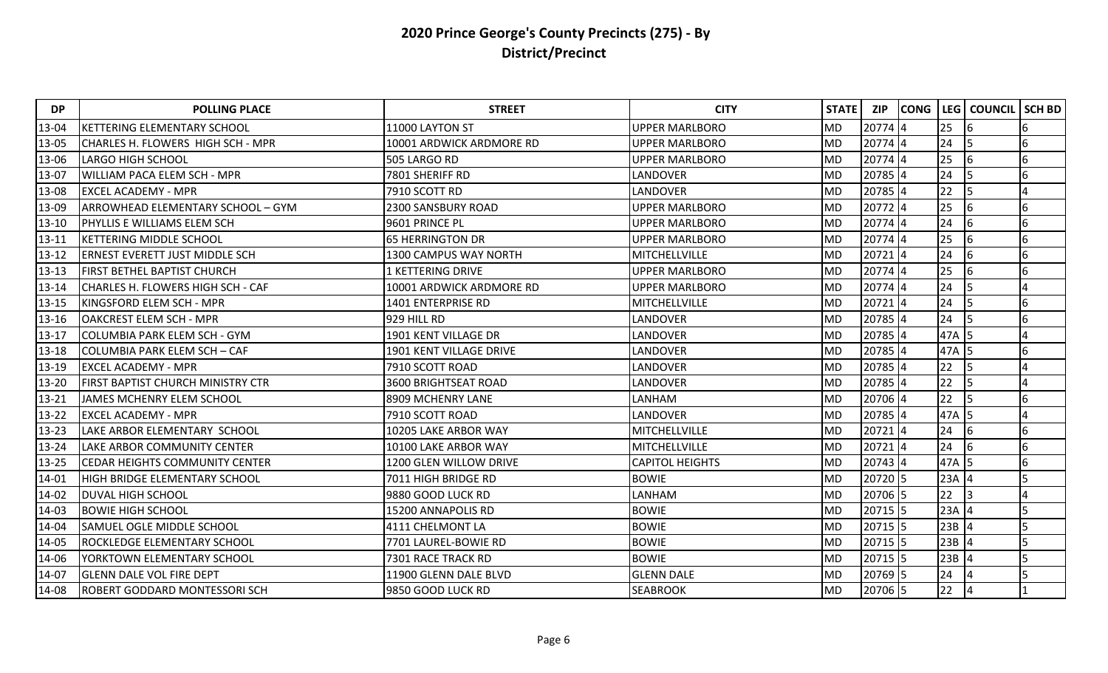| <b>DP</b> | <b>POLLING PLACE</b>                      | <b>STREET</b>                  | <b>CITY</b>            | <b>STATE</b> | <b>ZIP</b> | <b>CONG</b> |         | <b>LEG COUNCIL</b> | <b>SCH BD</b> |
|-----------|-------------------------------------------|--------------------------------|------------------------|--------------|------------|-------------|---------|--------------------|---------------|
| 13-04     | KETTERING ELEMENTARY SCHOOL               | 11000 LAYTON ST                | UPPER MARLBORO         | <b>MD</b>    | 20774 4    |             | 25      | 16                 | 6             |
| 13-05     | <b>CHARLES H. FLOWERS HIGH SCH - MPR</b>  | 10001 ARDWICK ARDMORE RD       | UPPER MARLBORO         | <b>MD</b>    | 20774 4    |             | 24      |                    | 6             |
| 13-06     | <b>LARGO HIGH SCHOOL</b>                  | 505 LARGO RD                   | <b>UPPER MARLBORO</b>  | <b>MD</b>    | 20774 4    |             | 25      | 6                  | 6             |
| 13-07     | <b>WILLIAM PACA ELEM SCH - MPR</b>        | 7801 SHERIFF RD                | LANDOVER               | <b>MD</b>    | 20785 4    |             | 24      |                    | 6             |
| 13-08     | <b>EXCEL ACADEMY - MPR</b>                | 7910 SCOTT RD                  | LANDOVER               | <b>MD</b>    | 20785 4    |             | 22      | 5                  |               |
| 13-09     | <b>JARROWHEAD ELEMENTARY SCHOOL - GYM</b> | <b>2300 SANSBURY ROAD</b>      | UPPER MARLBORO         | <b>MD</b>    | 20772 4    |             | 25      | 16                 | 6             |
| $13 - 10$ | <b>IPHYLLIS E WILLIAMS ELEM SCH</b>       | 9601 PRINCE PL                 | <b>UPPER MARLBORO</b>  | <b>MD</b>    | $20774$ 4  |             | 24      | 6                  | 6             |
| $13 - 11$ | <b>KETTERING MIDDLE SCHOOL</b>            | <b>65 HERRINGTON DR</b>        | <b>UPPER MARLBORO</b>  | <b>MD</b>    | 20774 4    |             | 25      | 16                 | 6             |
| 13-12     | <b>ERNEST EVERETT JUST MIDDLE SCH</b>     | 1300 CAMPUS WAY NORTH          | MITCHELLVILLE          | <b>MD</b>    | $20721$ 4  |             | 24      | 6                  | 6             |
| $13 - 13$ | <b>FIRST BETHEL BAPTIST CHURCH</b>        | <b>1 KETTERING DRIVE</b>       | UPPER MARLBORO         | MD           | 20774 4    |             | 25      | 16                 | 6             |
| $13 - 14$ | <b>CHARLES H. FLOWERS HIGH SCH - CAF</b>  | 10001 ARDWICK ARDMORE RD       | <b>UPPER MARLBORO</b>  | <b>MD</b>    | 20774 4    |             | 24      | 5                  |               |
| 13-15     | KINGSFORD ELEM SCH - MPR                  | 1401 ENTERPRISE RD             | MITCHELLVILLE          | <b>MD</b>    | $20721$ 4  |             | 24      |                    | 6             |
| 13-16     | <b>OAKCREST ELEM SCH - MPR</b>            | 929 HILL RD                    | LANDOVER               | <b>MD</b>    | 20785 4    |             | 24      |                    | 6             |
| $13 - 17$ | COLUMBIA PARK ELEM SCH - GYM              | 1901 KENT VILLAGE DR           | LANDOVER               | <b>MD</b>    | 20785 4    |             | 47A     | 15.                |               |
| 13-18     | COLUMBIA PARK ELEM SCH – CAF              | <b>1901 KENT VILLAGE DRIVE</b> | LANDOVER               | <b>MD</b>    | 20785 4    |             | 47A     | 15                 | 6             |
| 13-19     | <b>EXCEL ACADEMY - MPR</b>                | 7910 SCOTT ROAD                | LANDOVER               | <b>MD</b>    | 20785 4    |             | 22      |                    |               |
| 13-20     | <b>FIRST BAPTIST CHURCH MINISTRY CTR</b>  | 3600 BRIGHTSEAT ROAD           | LANDOVER               | <b>MD</b>    | 20785 4    |             | 22      |                    |               |
| $13 - 21$ | JAMES MCHENRY ELEM SCHOOL                 | 8909 MCHENRY LANE              | LANHAM                 | <b>MD</b>    | 20706 4    |             | 22      | l5                 | 6             |
| $13 - 22$ | <b>EXCEL ACADEMY - MPR</b>                | 7910 SCOTT ROAD                | LANDOVER               | <b>MD</b>    | 20785 4    |             | 47A     | I5                 |               |
| 13-23     | LAKE ARBOR ELEMENTARY SCHOOL              | 10205 LAKE ARBOR WAY           | MITCHELLVILLE          | <b>MD</b>    | 20721 4    |             | 24      | 6                  | 6             |
| 13-24     | <b>LAKE ARBOR COMMUNITY CENTER</b>        | 10100 LAKE ARBOR WAY           | MITCHELLVILLE          | <b>MD</b>    | 20721 4    |             | 24      | 16                 | 6             |
| 13-25     | <b>CEDAR HEIGHTS COMMUNITY CENTER</b>     | 1200 GLEN WILLOW DRIVE         | <b>CAPITOL HEIGHTS</b> | <b>MD</b>    | $20743$ 4  |             | 47A 5   |                    | 6             |
| 14-01     | <b>HIGH BRIDGE ELEMENTARY SCHOOL</b>      | 7011 HIGH BRIDGE RD            | <b>BOWIE</b>           | <b>MD</b>    | 20720 5    |             | $23A$ 4 |                    |               |
| 14-02     | <b>DUVAL HIGH SCHOOL</b>                  | 9880 GOOD LUCK RD              | LANHAM                 | <b>MD</b>    | 20706 5    |             | 22      |                    |               |
| 14-03     | <b>BOWIE HIGH SCHOOL</b>                  | 15200 ANNAPOLIS RD             | <b>BOWIE</b>           | <b>MD</b>    | 20715 5    |             | $23A$ 4 |                    |               |
| 14-04     | <b>SAMUEL OGLE MIDDLE SCHOOL</b>          | 4111 CHELMONT LA               | <b>BOWIE</b>           | <b>MD</b>    | 20715 5    |             | 23B     |                    |               |
| 14-05     | <b>ROCKLEDGE ELEMENTARY SCHOOL</b>        | 7701 LAUREL-BOWIE RD           | <b>BOWIE</b>           | <b>MD</b>    | 20715 5    |             | 23B     | 14                 | 5             |
| 14-06     | <b>YORKTOWN ELEMENTARY SCHOOL</b>         | 7301 RACE TRACK RD             | <b>BOWIE</b>           | <b>MD</b>    | 20715 5    |             | $23B$ 4 |                    |               |
| 14-07     | <b>GLENN DALE VOL FIRE DEPT</b>           | 11900 GLENN DALE BLVD          | <b>GLENN DALE</b>      | <b>MD</b>    | 20769 5    |             | 24      | $\overline{4}$     |               |
| 14-08     | ROBERT GODDARD MONTESSORI SCH             | 9850 GOOD LUCK RD              | <b>SEABROOK</b>        | <b>MD</b>    | 20706 5    |             | 22      | $\overline{4}$     |               |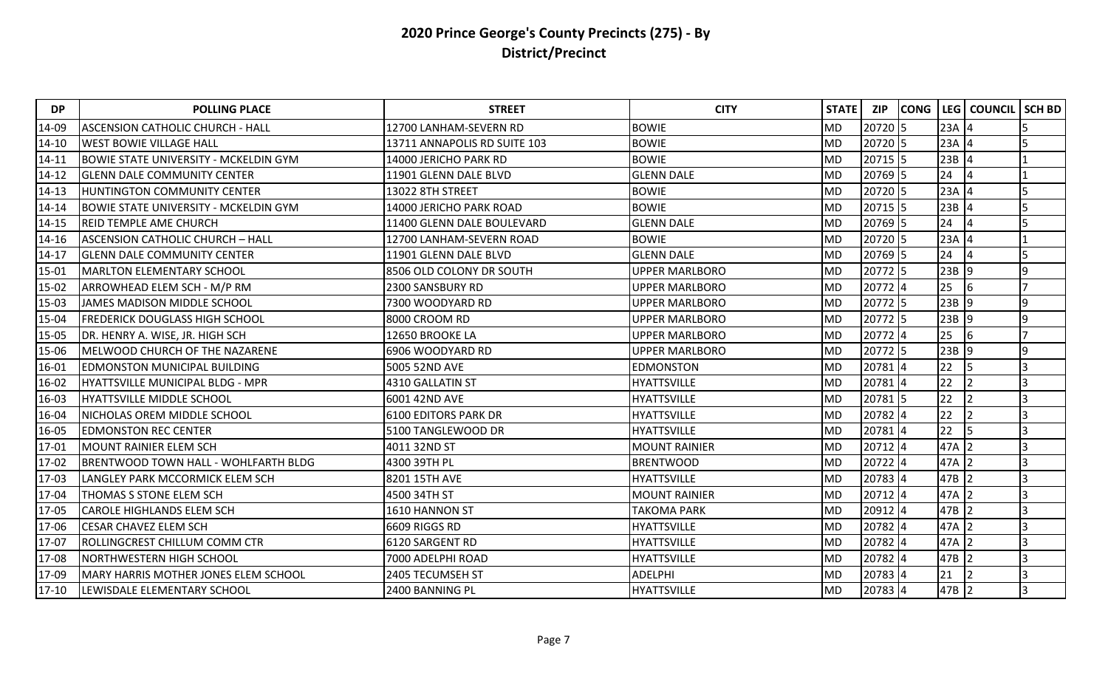| <b>DP</b> | <b>POLLING PLACE</b>                         | <b>STREET</b>                | <b>CITY</b>           | <b>STATE</b>   | ZIP     | <b>CONG</b> |          | LEG   COUNCIL   | <b>SCH BD</b> |
|-----------|----------------------------------------------|------------------------------|-----------------------|----------------|---------|-------------|----------|-----------------|---------------|
| 14-09     | <b>ASCENSION CATHOLIC CHURCH - HALL</b>      | 12700 LANHAM-SEVERN RD       | <b>BOWIE</b>          | <b>MD</b>      | 20720 5 |             | $23A$ 4  |                 |               |
| $14 - 10$ | <b>WEST BOWIE VILLAGE HALL</b>               | 13711 ANNAPOLIS RD SUITE 103 | <b>BOWIE</b>          | lmd            | 20720 5 |             | $23A$ 4  |                 |               |
| $14 - 11$ | <b>BOWIE STATE UNIVERSITY - MCKELDIN GYM</b> | 14000 JERICHO PARK RD        | <b>BOWIE</b>          | <b>MD</b>      | 20715 5 |             | $23B$ 4  |                 |               |
| 14-12     | <b>GLENN DALE COMMUNITY CENTER</b>           | 11901 GLENN DALE BLVD        | <b>GLENN DALE</b>     | <b>MD</b>      | 20769 5 |             | 24       | 4               |               |
| $14 - 13$ | HUNTINGTON COMMUNITY CENTER                  | 13022 8TH STREET             | <b>BOWIE</b>          | MD             | 20720 5 |             | $23A$ 4  |                 |               |
| 14-14     | BOWIE STATE UNIVERSITY - MCKELDIN GYM        | 14000 JERICHO PARK ROAD      | <b>BOWIE</b>          | MD             | 20715 5 |             | $23B$ 4  |                 |               |
| $14 - 15$ | IREID TEMPLE AME CHURCH                      | 11400 GLENN DALE BOULEVARD   | <b>GLENN DALE</b>     | <b>MD</b>      | 20769 5 |             | 24       | $\overline{14}$ |               |
| 14-16     | <b>ASCENSION CATHOLIC CHURCH - HALL</b>      | 12700 LANHAM-SEVERN ROAD     | <b>BOWIE</b>          | <b>MD</b>      | 20720 5 |             | $23A$ 4  |                 |               |
| $14 - 17$ | <b>GLENN DALE COMMUNITY CENTER</b>           | 11901 GLENN DALE BLVD        | <b>GLENN DALE</b>     | MD             | 20769 5 |             | 24       | 4               |               |
| 15-01     | <b>MARLTON ELEMENTARY SCHOOL</b>             | 8506 OLD COLONY DR SOUTH     | <b>UPPER MARLBORO</b> | lmd            | 20772 5 |             | $23B$ 9  |                 | 9             |
| 15-02     | ARROWHEAD ELEM SCH - M/P RM                  | 2300 SANSBURY RD             | <b>UPPER MARLBORO</b> | <b>MD</b>      | 20772 4 |             | 25       | 6               |               |
| 15-03     | JAMES MADISON MIDDLE SCHOOL                  | 7300 WOODYARD RD             | <b>UPPER MARLBORO</b> | <b>MD</b>      | 20772 5 |             | $23B$ 9  |                 | q             |
| 15-04     | <b>FREDERICK DOUGLASS HIGH SCHOOL</b>        | 8000 CROOM RD                | <b>UPPER MARLBORO</b> | <b>MD</b>      | 20772 5 |             | $23B$ 9  |                 | q             |
| 15-05     | DR. HENRY A. WISE, JR. HIGH SCH              | 12650 BROOKE LA              | <b>UPPER MARLBORO</b> | MD             | 20772 4 |             | 25       | 6               |               |
| 15-06     | MELWOOD CHURCH OF THE NAZARENE               | 6906 WOODYARD RD             | <b>UPPER MARLBORO</b> | MD             | 20772 5 |             | $23B$ 9  |                 | 9             |
| 16-01     | <b>EDMONSTON MUNICIPAL BUILDING</b>          | 5005 52ND AVE                | <b>EDMONSTON</b>      | <b>MD</b>      | 20781 4 |             | 22       | 5               |               |
| 16-02     | HYATTSVILLE MUNICIPAL BLDG - MPR             | 4310 GALLATIN ST             | <b>HYATTSVILLE</b>    | <b>MD</b>      | 20781 4 |             | 22       |                 |               |
| 16-03     | <b>HYATTSVILLE MIDDLE SCHOOL</b>             | 6001 42ND AVE                | <b>HYATTSVILLE</b>    | lmd            | 20781 5 |             | 22       |                 | 3             |
| 16-04     | NICHOLAS OREM MIDDLE SCHOOL                  | <b>6100 EDITORS PARK DR</b>  | <b>HYATTSVILLE</b>    | M <sub>D</sub> | 20782 4 |             | 22       |                 | 3             |
| 16-05     | <b>EDMONSTON REC CENTER</b>                  | 5100 TANGLEWOOD DR           | <b>HYATTSVILLE</b>    | <b>MD</b>      | 20781 4 |             | 22<br>15 |                 |               |
| 17-01     | <b>MOUNT RAINIER ELEM SCH</b>                | 4011 32ND ST                 | <b>MOUNT RAINIER</b>  | <b>MD</b>      | 20712 4 |             | 47A 2    |                 |               |
| 17-02     | BRENTWOOD TOWN HALL - WOHLFARTH BLDG         | 4300 39TH PL                 | <b>BRENTWOOD</b>      | MD             | 20722 4 |             | 47A 2    |                 |               |
| 17-03     | LANGLEY PARK MCCORMICK ELEM SCH              | 8201 15TH AVE                | <b>HYATTSVILLE</b>    | MD             | 20783 4 |             | $47B$ 2  |                 | 3             |
| 17-04     | THOMAS S STONE ELEM SCH                      | 4500 34TH ST                 | <b>MOUNT RAINIER</b>  | <b>MD</b>      | 20712 4 |             | 47A 2    |                 |               |
| 17-05     | <b>CAROLE HIGHLANDS ELEM SCH</b>             | 1610 HANNON ST               | <b>TAKOMA PARK</b>    | <b>MD</b>      | 20912 4 |             | 47B 2    |                 |               |
| 17-06     | <b>CESAR CHAVEZ ELEM SCH</b>                 | 6609 RIGGS RD                | <b>HYATTSVILLE</b>    | MD             | 20782 4 |             | 47A 2    |                 |               |
| 17-07     | <b>ROLLINGCREST CHILLUM COMM CTR</b>         | 6120 SARGENT RD              | <b>HYATTSVILLE</b>    | MD             | 20782 4 |             | 47A 2    |                 | 3             |
| 17-08     | NORTHWESTERN HIGH SCHOOL                     | 7000 ADELPHI ROAD            | <b>HYATTSVILLE</b>    | MD             | 20782 4 |             | 47B 2    |                 |               |
| 17-09     | <b>MARY HARRIS MOTHER JONES ELEM SCHOOL</b>  | 2405 TECUMSEH ST             | <b>ADELPHI</b>        | <b>MD</b>      | 20783 4 |             | 21       |                 |               |
| 17-10     | LEWISDALE ELEMENTARY SCHOOL                  | 2400 BANNING PL              | HYATTSVILLE           | <b>MD</b>      | 20783 4 |             | 47B 2    |                 | 3             |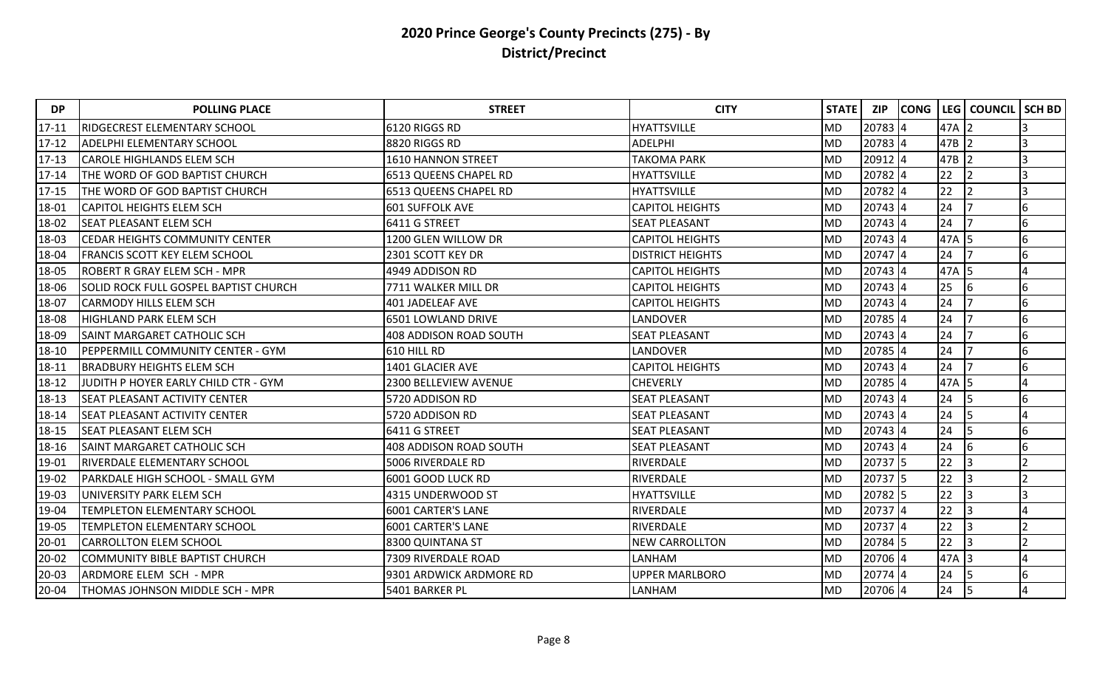| <b>DP</b> | <b>POLLING PLACE</b>                         | <b>STREET</b>                 | <b>CITY</b>             | STATE     | <b>ZIP</b> | <b>CONG</b> | LEG     | <b>COUNCIL</b> | <b>SCH BD</b> |
|-----------|----------------------------------------------|-------------------------------|-------------------------|-----------|------------|-------------|---------|----------------|---------------|
| $17 - 11$ | RIDGECREST ELEMENTARY SCHOOL                 | 6120 RIGGS RD                 | <b>HYATTSVILLE</b>      | <b>MD</b> | 20783 4    |             | 47A     | <u>2</u>       |               |
| $17 - 12$ | <b>ADELPHI ELEMENTARY SCHOOL</b>             | 8820 RIGGS RD                 | <b>ADELPHI</b>          | <b>MD</b> | 20783 4    |             | $47B$ 2 |                |               |
| $17 - 13$ | <b>CAROLE HIGHLANDS ELEM SCH</b>             | 1610 HANNON STREET            | <b>TAKOMA PARK</b>      | <b>MD</b> | 20912 4    |             | 47B     |                |               |
| $17 - 14$ | THE WORD OF GOD BAPTIST CHURCH               | 6513 QUEENS CHAPEL RD         | <b>HYATTSVILLE</b>      | <b>MD</b> | 20782 4    |             | 22      |                |               |
| $17 - 15$ | THE WORD OF GOD BAPTIST CHURCH               | 6513 QUEENS CHAPEL RD         | <b>HYATTSVILLE</b>      | <b>MD</b> | 20782 4    |             | 22      |                |               |
| 18-01     | <b>CAPITOL HEIGHTS ELEM SCH</b>              | <b>601 SUFFOLK AVE</b>        | <b>CAPITOL HEIGHTS</b>  | <b>MD</b> | 20743 4    |             | 24      |                | 6             |
| 18-02     | <b>SEAT PLEASANT ELEM SCH</b>                | 6411 G STREET                 | <b>SEAT PLEASANT</b>    | <b>MD</b> | $20743$ 4  |             | 24      |                | 6             |
| 18-03     | <b>CEDAR HEIGHTS COMMUNITY CENTER</b>        | 1200 GLEN WILLOW DR           | <b>CAPITOL HEIGHTS</b>  | <b>MD</b> | 20743 4    |             | 47A 5   |                | 6             |
| 18-04     | <b>FRANCIS SCOTT KEY ELEM SCHOOL</b>         | 2301 SCOTT KEY DR             | <b>DISTRICT HEIGHTS</b> | <b>MD</b> | $20747$ 4  |             | 24      |                | 6             |
| 18-05     | <b>IROBERT R GRAY ELEM SCH - MPR</b>         | 4949 ADDISON RD               | <b>CAPITOL HEIGHTS</b>  | <b>MD</b> | 20743 4    |             | 47A     | 15             |               |
| 18-06     | <b>SOLID ROCK FULL GOSPEL BAPTIST CHURCH</b> | 7711 WALKER MILL DR           | <b>CAPITOL HEIGHTS</b>  | <b>MD</b> | 20743 4    |             | 25      | 16             | 6             |
| 18-07     | <b>CARMODY HILLS ELEM SCH</b>                | <b>401 JADELEAF AVE</b>       | <b>CAPITOL HEIGHTS</b>  | <b>MD</b> | $20743$ 4  |             | 24      |                | 6             |
| 18-08     | <b>IHIGHLAND PARK ELEM SCH</b>               | 6501 LOWLAND DRIVE            | LANDOVER                | <b>MD</b> | 20785 4    |             | 24      |                | 6             |
| 18-09     | <b>SAINT MARGARET CATHOLIC SCH</b>           | 408 ADDISON ROAD SOUTH        | <b>SEAT PLEASANT</b>    | <b>MD</b> | 20743 4    |             | 24      |                | 6             |
| 18-10     | PEPPERMILL COMMUNITY CENTER - GYM            | 610 HILL RD                   | <b>LANDOVER</b>         | <b>MD</b> | 20785 4    |             | 24      |                | 6             |
| 18-11     | <b>BRADBURY HEIGHTS ELEM SCH</b>             | 1401 GLACIER AVE              | <b>CAPITOL HEIGHTS</b>  | <b>MD</b> | 20743 4    |             | 24      |                | 6             |
| 18-12     | JUDITH P HOYER EARLY CHILD CTR - GYM         | 2300 BELLEVIEW AVENUE         | <b>CHEVERLY</b>         | <b>MD</b> | 20785 4    |             | 47A 5   |                |               |
| 18-13     | <b>SEAT PLEASANT ACTIVITY CENTER</b>         | 5720 ADDISON RD               | <b>SEAT PLEASANT</b>    | <b>MD</b> | $20743$ 4  |             | 24      | 15             | 6             |
| 18-14     | <b>SEAT PLEASANT ACTIVITY CENTER</b>         | 5720 ADDISON RD               | <b>SEAT PLEASANT</b>    | <b>MD</b> | 20743 4    |             | 24      | 5              |               |
| 18-15     | <b>SEAT PLEASANT ELEM SCH</b>                | 6411 G STREET                 | <b>SEAT PLEASANT</b>    | <b>MD</b> | 20743 4    |             | 24      |                | 6             |
| 18-16     | <b>SAINT MARGARET CATHOLIC SCH</b>           | <b>408 ADDISON ROAD SOUTH</b> | <b>SEAT PLEASANT</b>    | <b>MD</b> | 20743 4    |             | 24      | 16             | 6             |
| 19-01     | <b>RIVERDALE ELEMENTARY SCHOOL</b>           | 5006 RIVERDALE RD             | RIVERDALE               | <b>MD</b> | 20737 5    |             | 22      |                |               |
| 19-02     | PARKDALE HIGH SCHOOL - SMALL GYM             | 6001 GOOD LUCK RD             | RIVERDALE               | <b>MD</b> | 20737 5    |             | 22      | 3              |               |
| 19-03     | UNIVERSITY PARK ELEM SCH                     | 4315 UNDERWOOD ST             | <b>HYATTSVILLE</b>      | <b>MD</b> | 20782 5    |             | 22      |                |               |
| 19-04     | TEMPLETON ELEMENTARY SCHOOL                  | 6001 CARTER'S LANE            | <b>RIVERDALE</b>        | <b>MD</b> | 20737 4    |             | 22      |                |               |
| 19-05     | TEMPLETON ELEMENTARY SCHOOL                  | 6001 CARTER'S LANE            | RIVERDALE               | <b>MD</b> | 20737 4    |             | 22      |                |               |
| $20 - 01$ | <b>CARROLLTON ELEM SCHOOL</b>                | 8300 QUINTANA ST              | <b>NEW CARROLLTON</b>   | <b>MD</b> | 20784 5    |             | 22      |                |               |
| $20 - 02$ | COMMUNITY BIBLE BAPTIST CHURCH               | 7309 RIVERDALE ROAD           | LANHAM                  | <b>MD</b> | 20706 4    |             | 47A     |                |               |
| 20-03     | ARDMORE ELEM SCH - MPR                       | 9301 ARDWICK ARDMORE RD       | <b>UPPER MARLBORO</b>   | <b>MD</b> | 20774 4    |             | 24      | 5              | 6             |
| 20-04     | THOMAS JOHNSON MIDDLE SCH - MPR              | 5401 BARKER PL                | LANHAM                  | <b>MD</b> | 20706 4    |             | 24      | 5              |               |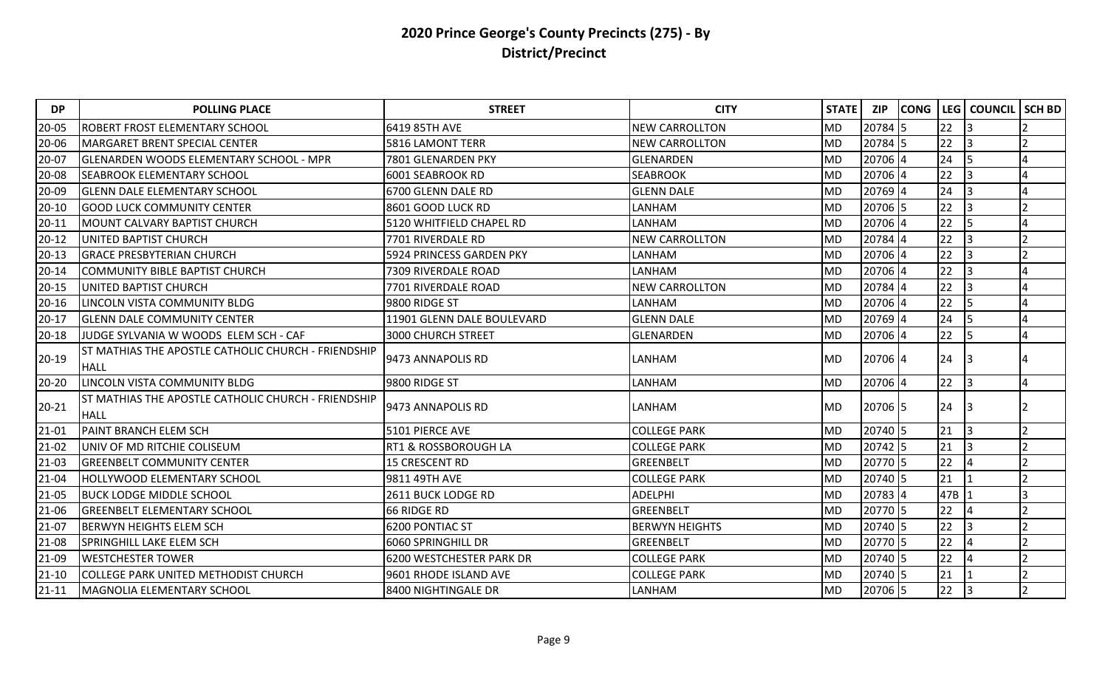| <b>DP</b> | <b>POLLING PLACE</b>                                               | <b>STREET</b>              | <b>CITY</b>           | STATE     | <b>ZIP</b> | <b>CONG</b> | LEG | <b>COUNCIL</b> | <b>SCH BD</b> |
|-----------|--------------------------------------------------------------------|----------------------------|-----------------------|-----------|------------|-------------|-----|----------------|---------------|
| 20-05     | ROBERT FROST ELEMENTARY SCHOOL                                     | 6419 85TH AVE              | <b>NEW CARROLLTON</b> | <b>MD</b> | 20784 5    |             | 22  | 3              |               |
| 20-06     | MARGARET BRENT SPECIAL CENTER                                      | 5816 LAMONT TERR           | <b>NEW CARROLLTON</b> | <b>MD</b> | 20784 5    |             | 22  |                |               |
| 20-07     | <b>GLENARDEN WOODS ELEMENTARY SCHOOL - MPR</b>                     | 7801 GLENARDEN PKY         | <b>GLENARDEN</b>      | <b>MD</b> | 20706 4    |             | 24  |                |               |
| 20-08     | SEABROOK ELEMENTARY SCHOOL                                         | 6001 SEABROOK RD           | <b>SEABROOK</b>       | <b>MD</b> | 20706 4    |             | 22  |                |               |
| 20-09     | <b>GLENN DALE ELEMENTARY SCHOOL</b>                                | 6700 GLENN DALE RD         | <b>GLENN DALE</b>     | <b>MD</b> | 20769 4    |             | 24  |                |               |
| $20 - 10$ | <b>GOOD LUCK COMMUNITY CENTER</b>                                  | 8601 GOOD LUCK RD          | LANHAM                | <b>MD</b> | 20706 5    |             | 22  |                |               |
| $20 - 11$ | MOUNT CALVARY BAPTIST CHURCH                                       | 5120 WHITFIELD CHAPEL RD   | LANHAM                | <b>MD</b> | 20706 4    |             | 22  | 5              |               |
| $20 - 12$ | UNITED BAPTIST CHURCH                                              | 7701 RIVERDALE RD          | <b>NEW CARROLLTON</b> | <b>MD</b> | 20784 4    |             | 22  |                |               |
| $20 - 13$ | <b>GRACE PRESBYTERIAN CHURCH</b>                                   | 5924 PRINCESS GARDEN PKY   | LANHAM                | <b>MD</b> | 20706 4    |             | 22  | 3              |               |
| $20 - 14$ | <b>COMMUNITY BIBLE BAPTIST CHURCH</b>                              | 7309 RIVERDALE ROAD        | LANHAM                | <b>MD</b> | 20706 4    |             | 22  |                |               |
| $20 - 15$ | UNITED BAPTIST CHURCH                                              | 7701 RIVERDALE ROAD        | <b>NEW CARROLLTON</b> | <b>MD</b> | 20784 4    |             | 22  |                |               |
| $20 - 16$ | LINCOLN VISTA COMMUNITY BLDG                                       | 9800 RIDGE ST              | LANHAM                | <b>MD</b> | 20706 4    |             | 22  | 5              |               |
| $20 - 17$ | <b>GLENN DALE COMMUNITY CENTER</b>                                 | 11901 GLENN DALE BOULEVARD | <b>GLENN DALE</b>     | <b>MD</b> | 20769 4    |             | 24  | 5              |               |
| $20 - 18$ | JUDGE SYLVANIA W WOODS ELEM SCH - CAF                              | <b>3000 CHURCH STREET</b>  | GLENARDEN             | <b>MD</b> | 20706 4    |             | 22  | 5              |               |
| $20 - 19$ | ST MATHIAS THE APOSTLE CATHOLIC CHURCH - FRIENDSHIP<br><b>HALL</b> | 9473 ANNAPOLIS RD          | LANHAM                | <b>MD</b> | 20706 4    |             | 24  |                |               |
| 20-20     | LINCOLN VISTA COMMUNITY BLDG                                       | 9800 RIDGE ST              | LANHAM                | <b>MD</b> | 20706 4    |             | 22  | 3              |               |
| $20 - 21$ | ST MATHIAS THE APOSTLE CATHOLIC CHURCH - FRIENDSHIP<br><b>HALL</b> | 9473 ANNAPOLIS RD          | LANHAM                | <b>MD</b> | 20706 5    |             | 24  |                |               |
| $21 - 01$ | PAINT BRANCH ELEM SCH                                              | 5101 PIERCE AVE            | <b>COLLEGE PARK</b>   | <b>MD</b> | 20740 5    |             | 21  |                |               |
| $21 - 02$ | UNIV OF MD RITCHIE COLISEUM                                        | RT1 & ROSSBOROUGH LA       | <b>COLLEGE PARK</b>   | <b>MD</b> | 20742 5    |             | 21  |                |               |
| $21 - 03$ | <b>GREENBELT COMMUNITY CENTER</b>                                  | 15 CRESCENT RD             | GREENBELT             | <b>MD</b> | 20770 5    |             | 22  |                |               |
| $21 - 04$ | HOLLYWOOD ELEMENTARY SCHOOL                                        | 9811 49TH AVE              | <b>COLLEGE PARK</b>   | <b>MD</b> | 20740 5    |             | 21  |                |               |
| 21-05     | <b>BUCK LODGE MIDDLE SCHOOL</b>                                    | 2611 BUCK LODGE RD         | <b>ADELPHI</b>        | <b>MD</b> | 20783 4    |             | 47B |                |               |
| 21-06     | <b>GREENBELT ELEMENTARY SCHOOL</b>                                 | 66 RIDGE RD                | <b>GREENBELT</b>      | <b>MD</b> | 20770 5    |             | 22  | 4              |               |
| $21-07$   | BERWYN HEIGHTS ELEM SCH                                            | 6200 PONTIAC ST            | <b>BERWYN HEIGHTS</b> | <b>MD</b> | 20740 5    |             | 22  |                |               |
| 21-08     | SPRINGHILL LAKE ELEM SCH                                           | 6060 SPRINGHILL DR         | GREENBELT             | <b>MD</b> | 20770 5    |             | 22  |                |               |
| 21-09     | <b>WESTCHESTER TOWER</b>                                           | 6200 WESTCHESTER PARK DR   | <b>COLLEGE PARK</b>   | <b>MD</b> | 20740 5    |             | 22  |                |               |
| $21 - 10$ | COLLEGE PARK UNITED METHODIST CHURCH                               | 9601 RHODE ISLAND AVE      | <b>COLLEGE PARK</b>   | <b>MD</b> | 20740 5    |             | 21  |                |               |
| $21 - 11$ | MAGNOLIA ELEMENTARY SCHOOL                                         | 8400 NIGHTINGALE DR        | LANHAM                | <b>MD</b> | 20706 5    |             | 22  | 3              |               |